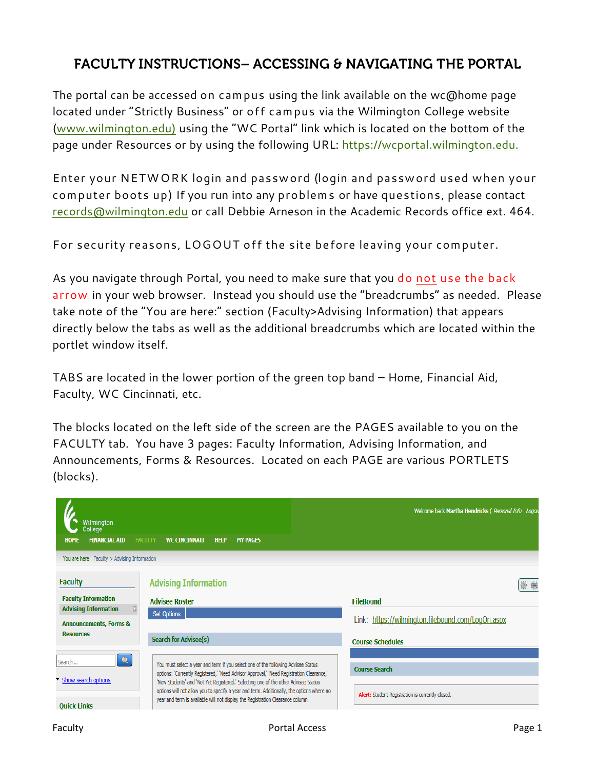## **FACULTY INSTRUCTIONS- ACCESSING & NAVIGATING THE PORTAL**

The portal can be accessed on campus using the link available on the wc@home page located under "Strictly Business" or off campus via the Wilmington College website [\(www.wilmington.edu\)](http://www.wilmington.edu/) using the "WC Portal" link which is located on the bottom of the page under Resources or by using the following URL: [https://wcportal.wilmington.edu.](https://wcportal.wilmington.edu/)

Enter your NETWORK login and password (login and password used when your computer boots up) If you run into any problems or have questions, please contact [records@wilmington.edu](mailto:records@wilmington.edu) or call Debbie Arneson in the Academic Records office ext. 464.

For security reasons, LOGOUT off the site before leaving your computer.

As you navigate through Portal, you need to make sure that you do not use the back arrow in your web browser. Instead you should use the "breadcrumbs" as needed. Please take note of the "You are here:" section (Faculty>Advising Information) that appears directly below the tabs as well as the additional breadcrumbs which are located within the portlet window itself.

TABS are located in the lower portion of the green top band – Home, Financial Aid, Faculty, WC Cincinnati, etc.

The blocks located on the left side of the screen are the PAGES available to you on the FACULTY tab. You have 3 pages: Faculty Information, Advising Information, and Announcements, Forms & Resources. Located on each PAGE are various PORTLETS (blocks).

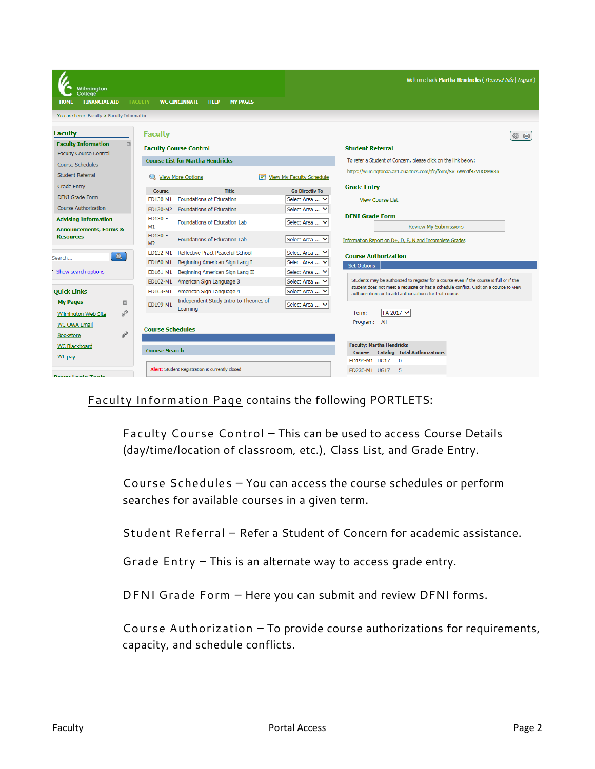| Wilmington<br><b>College</b><br><b>FINANCIAL AID</b><br><b>HOME</b><br><b>FACULTY</b> |                                         | <b>WC CINCINNATI</b><br><b>HELP</b><br><b>MY PAGES</b> |                                            | Welcome back Martha Hendricks ( Personal Info   Logout)                                                                                                                             |
|---------------------------------------------------------------------------------------|-----------------------------------------|--------------------------------------------------------|--------------------------------------------|-------------------------------------------------------------------------------------------------------------------------------------------------------------------------------------|
| You are here: Faculty > Faculty Information                                           |                                         |                                                        |                                            |                                                                                                                                                                                     |
|                                                                                       |                                         |                                                        |                                            |                                                                                                                                                                                     |
| <b>Faculty</b>                                                                        | <b>Faculty</b>                          |                                                        |                                            |                                                                                                                                                                                     |
| <b>Faculty Information</b><br>田                                                       |                                         | <b>Faculty Course Control</b>                          |                                            | <b>Student Referral</b>                                                                                                                                                             |
| <b>Faculty Course Control</b>                                                         | <b>Course List for Martha Hendricks</b> |                                                        |                                            | To refer a Student of Concern, please click on the link below:                                                                                                                      |
| <b>Course Schedules</b>                                                               |                                         |                                                        |                                            |                                                                                                                                                                                     |
| <b>Student Referral</b>                                                               |                                         | <b>View More Options</b>                               | <b>View My Faculty Schedule</b>            | https://wilmingtonaa.az1.qualtrics.com/jfe/form/SV_6Wn4f87VUOzMR3n                                                                                                                  |
| <b>Grade Entry</b>                                                                    | <b>Course</b>                           | <b>Title</b>                                           | <b>Go Directly To</b>                      | <b>Grade Entry</b>                                                                                                                                                                  |
| <b>DFNI</b> Grade Form                                                                |                                         | ED130-M1 Foundations of Education                      | Select Area  V                             | <b>View Course List</b>                                                                                                                                                             |
| <b>Course Authorization</b>                                                           |                                         | ED130-M2 Foundations of Education                      | Select Area                                |                                                                                                                                                                                     |
| <b>Advising Information</b>                                                           | FD130I-                                 | Foundations of Education Lab                           | Select Area  V                             | <b>DFNI Grade Form</b>                                                                                                                                                              |
| <b>Announcements, Forms &amp;</b>                                                     | M1                                      |                                                        |                                            | <b>Review My Submissions</b>                                                                                                                                                        |
| <b>Resources</b>                                                                      | ED130L-<br>M2                           | Foundations of Education Lab                           | Select Area  V                             | Information Report on D+, D, F, N and Incomplete Grades                                                                                                                             |
| $\bullet$                                                                             | ED132-M1                                | Reflective Pract Peaceful School                       | Select Area  V                             | <b>Course Authorization</b>                                                                                                                                                         |
| Search                                                                                | ED160-M1                                | Beginning American Sign Lang I                         | Select Area  V                             | Set Options                                                                                                                                                                         |
| Show search options                                                                   | ED161-M1                                | Beginning American Sign Lang II                        | Select Area  '                             |                                                                                                                                                                                     |
|                                                                                       | ED162-M1                                | American Sign Language 3                               | Select Area  V                             | Students may be authorized to register for a course even if the course is full or if the<br>student does not meet a requisite or has a schedule conflict. Click on a course to view |
| <b>Quick Links</b>                                                                    | ED163-M1                                | American Sign Language 4                               | Select Area  V                             | authorizations or to add authorizations for that course.                                                                                                                            |
| <b>My Pages</b><br>$\mathbb{R}$                                                       | ED199-M1                                | Independent Study Intro to Theories of                 | Select Area  V                             |                                                                                                                                                                                     |
| F<br>Wilmington Web Site                                                              |                                         | Learning                                               |                                            | FA 2017 V<br>Term:                                                                                                                                                                  |
| <b>WC OWA Email</b>                                                                   |                                         |                                                        |                                            | Program: All                                                                                                                                                                        |
| ap<br><b>Bookstore</b>                                                                | <b>Course Schedules</b>                 |                                                        |                                            |                                                                                                                                                                                     |
| WC Blackboard                                                                         |                                         |                                                        |                                            | <b>Faculty: Martha Hendricks</b>                                                                                                                                                    |
| <b>Course Search</b><br>WILpay                                                        |                                         |                                                        | <b>Course</b> Catalog Total Authorizations |                                                                                                                                                                                     |
|                                                                                       |                                         | Alert: Student Registration is currently closed.       |                                            | ED199-M1 UG17<br>$\mathbf{O}$                                                                                                                                                       |
| <b>Dental Login Tools</b>                                                             |                                         |                                                        |                                            | ED230-M1 UG17<br>-5                                                                                                                                                                 |

Faculty Information Page contains the following PORTLETS:

Faculty Course Control – This can be used to access Course Details (day/time/location of classroom, etc.), Class List, and Grade Entry.

Course Schedules – You can access the course schedules or perform searches for available courses in a given term.

Student Referral – Refer a Student of Concern for academic assistance.

Grade Entry – This is an alternate way to access grade entry.

DFNI Grade Form – Here you can submit and review DFNI forms.

Course Authorization – To provide course authorizations for requirements, capacity, and schedule conflicts.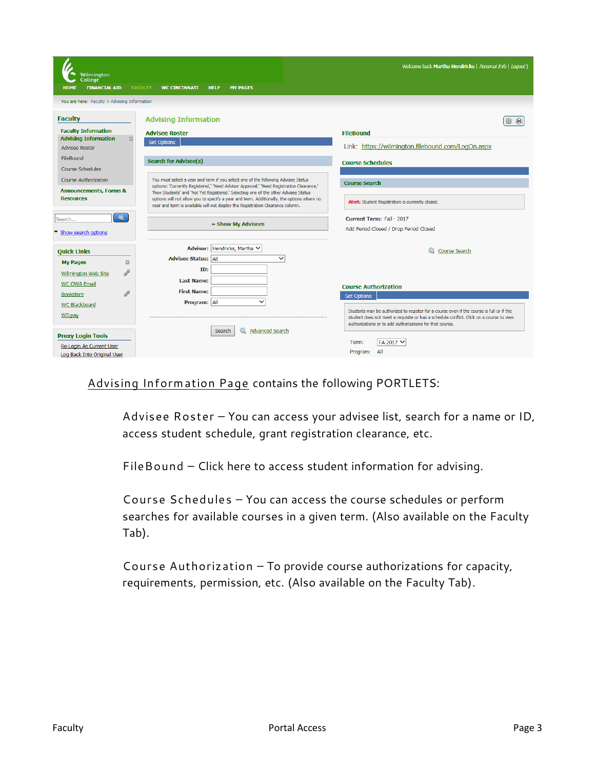| Wilmington                                            |                                                                                                                                                                                | Welcome back Martha Hendricks ( Personal Info   Logout)                                                                                             |
|-------------------------------------------------------|--------------------------------------------------------------------------------------------------------------------------------------------------------------------------------|-----------------------------------------------------------------------------------------------------------------------------------------------------|
| College                                               |                                                                                                                                                                                |                                                                                                                                                     |
| <b>FINANCIAL AID</b><br><b>FACULTY</b><br><b>HOME</b> | <b>WC CINCINNATI</b><br><b>MY PAGES</b><br><b>HELP</b>                                                                                                                         |                                                                                                                                                     |
| You are here: Faculty > Advising Information          |                                                                                                                                                                                |                                                                                                                                                     |
| <b>Faculty</b>                                        | <b>Advising Information</b>                                                                                                                                                    |                                                                                                                                                     |
| <b>Faculty Information</b>                            | <b>Advisee Roster</b>                                                                                                                                                          | <b>FileBound</b>                                                                                                                                    |
| $\boxdot$<br><b>Advising Information</b>              | <b>Set Options</b>                                                                                                                                                             |                                                                                                                                                     |
| <b>Advisee Roster</b>                                 |                                                                                                                                                                                | Link: https://wilmington.filebound.com/LogOn.aspx                                                                                                   |
| FileBound                                             | <b>Search for Advisee(s)</b>                                                                                                                                                   | <b>Course Schedules</b>                                                                                                                             |
| <b>Course Schedules</b>                               |                                                                                                                                                                                |                                                                                                                                                     |
| <b>Course Authorization</b>                           | You must select a year and term if you select one of the following Advisee Status                                                                                              | <b>Course Search</b>                                                                                                                                |
| <b>Announcements, Forms &amp;</b>                     | options: 'Currently Registered,' 'Need Advisor Approval,' 'Need Registration Clearance,'<br>'New Students' and 'Not Yet Registered.' Selecting one of the other Advisee Status |                                                                                                                                                     |
| <b>Resources</b>                                      | options will not allow you to specify a year and term. Additionally, the options where no<br>year and term is available will not display the Registration Clearance column.    | Alert: Student Registration is currently closed.                                                                                                    |
|                                                       |                                                                                                                                                                                |                                                                                                                                                     |
| $\overline{\bullet}$<br>Search                        | » Show My Advisees                                                                                                                                                             | Current Term: Fall - 2017                                                                                                                           |
| Show search options                                   |                                                                                                                                                                                | Add Period Closed / Drop Period Closed                                                                                                              |
|                                                       |                                                                                                                                                                                |                                                                                                                                                     |
| <b>Quick Links</b>                                    | Advisor: Hendricks, Martha V                                                                                                                                                   | Course Search                                                                                                                                       |
| <b>My Pages</b><br>田                                  | <b>Advisee Status: All</b><br>$\checkmark$                                                                                                                                     |                                                                                                                                                     |
| <b>CONTRACTOR</b><br><b>Wilmington Web Site</b>       | ID:                                                                                                                                                                            |                                                                                                                                                     |
| <b>WC OWA Email</b>                                   | <b>Last Name:</b>                                                                                                                                                              | <b>Course Authorization</b>                                                                                                                         |
| $\sigma^2$<br><b>Bookstore</b>                        | <b>First Name:</b>                                                                                                                                                             | <b>Set Options</b>                                                                                                                                  |
| <b>WC Blackboard</b>                                  | $\checkmark$<br>Program: All                                                                                                                                                   |                                                                                                                                                     |
| WILpay                                                |                                                                                                                                                                                | Students may be authorized to register for a course even if the course is full or if the                                                            |
|                                                       |                                                                                                                                                                                | student does not meet a requisite or has a schedule conflict. Click on a course to view<br>authorizations or to add authorizations for that course. |
| <b>Proxy Login Tools</b>                              | <b>Advanced Search</b><br>Search                                                                                                                                               |                                                                                                                                                     |
| Re-Login As Current User                              |                                                                                                                                                                                | FA 2017 V<br>Term:                                                                                                                                  |
| Log Back Into Original User                           |                                                                                                                                                                                | All<br>Program:                                                                                                                                     |

## Advising Information Page contains the following PORTLETS:

Advisee Roster – You can access your advisee list, search for a name or ID, access student schedule, grant registration clearance, etc.

FileBound – Click here to access student information for advising.

Course Schedules – You can access the course schedules or perform searches for available courses in a given term. (Also available on the Faculty Tab).

Course Authorization – To provide course authorizations for capacity, requirements, permission, etc. (Also available on the Faculty Tab).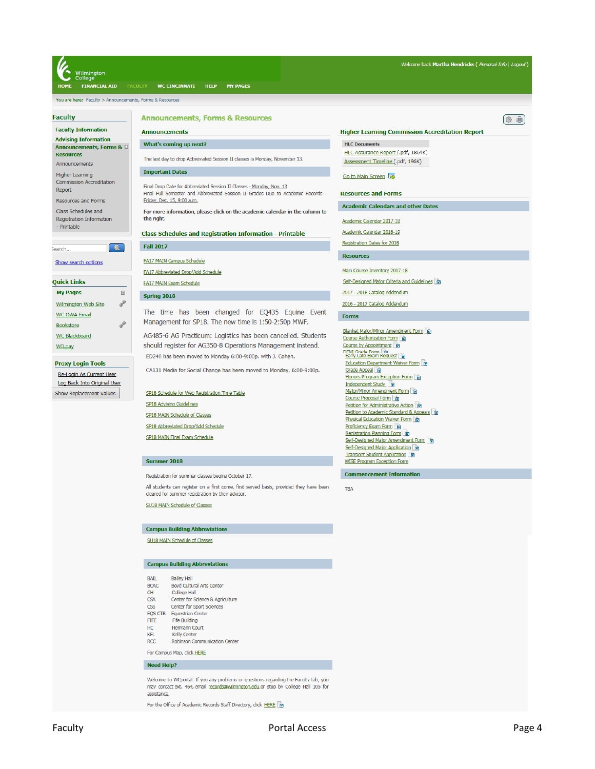| Welcome back Martha Hendricks ( Personal Info   Logout)<br>Vilmington<br>College<br><b>FINANCIAL AID</b><br><b>FACULTY</b><br><b>WC CINCINNATI</b><br><b>HELP</b><br><b>MY PAGES</b> |                                                                                                                                                         |                                                                                                 |  |  |  |
|--------------------------------------------------------------------------------------------------------------------------------------------------------------------------------------|---------------------------------------------------------------------------------------------------------------------------------------------------------|-------------------------------------------------------------------------------------------------|--|--|--|
| You are here: Faculty > Announcements, Forms & Resources                                                                                                                             |                                                                                                                                                         |                                                                                                 |  |  |  |
| <b>Faculty</b>                                                                                                                                                                       | <b>Announcements, Forms &amp; Resources</b>                                                                                                             | 倉<br>懲                                                                                          |  |  |  |
| <b>Faculty Information</b>                                                                                                                                                           | <b>Announcements</b>                                                                                                                                    | <b>Higher Learning Commission Accreditation Report</b>                                          |  |  |  |
| <b>Advising Information</b><br>Announcements, Forms & E                                                                                                                              | What's coming up next?                                                                                                                                  | <b>HLC Documents</b>                                                                            |  |  |  |
| <b>Resources</b><br>Announcements                                                                                                                                                    | The last day to drop Abbreviated Session II classes is Monday, November 13.                                                                             | HLC Assurance Report (.pdf, 1864K)<br>Assessment Timeline (.pdf, 196K)                          |  |  |  |
| <b>Higher Learning</b><br><b>Commission Accreditation</b><br>Report                                                                                                                  | <b>Important Dates</b>                                                                                                                                  | Go to Main Screen                                                                               |  |  |  |
|                                                                                                                                                                                      | Final Drop Date for Abbreviated Session II Classes - Monday, Nov. 13<br>Final Full Semester and Abbreviated Session II Grades Due to Academic Records - | <b>Resources and Forms</b>                                                                      |  |  |  |
| <b>Resources and Forms</b><br>Class Schedules and                                                                                                                                    | Friday, Dec. 15, 9:00 a.m.<br>For more information, please click on the academic calendar in the column to                                              | <b>Academic Calendars and other Dates</b>                                                       |  |  |  |
| Registration Information                                                                                                                                                             | the right.                                                                                                                                              | Academic Calendar 2017-18                                                                       |  |  |  |
| - Printable                                                                                                                                                                          | <b>Class Schedules and Registration Information - Printable</b>                                                                                         | Academic Calendar 2018-19                                                                       |  |  |  |
| $\bullet$<br>iearch                                                                                                                                                                  | <b>Fall 2017</b>                                                                                                                                        | Registration Dates for 2018                                                                     |  |  |  |
| Show search options                                                                                                                                                                  | <b>FA17 MAIN Campus Schedule</b>                                                                                                                        | <b>Resources</b>                                                                                |  |  |  |
|                                                                                                                                                                                      | FA17 Abbreviated Drop/Add Schedule                                                                                                                      | Main Course Inventory 2017-18                                                                   |  |  |  |
| Quick Links                                                                                                                                                                          | FA17 MAIN Exam Schedule                                                                                                                                 | Self-Designed Major Criteria and Guidelines                                                     |  |  |  |
| <b>My Pages</b><br>$\boxdot$                                                                                                                                                         | <b>Spring 2018</b>                                                                                                                                      | 2017 - 2018 Catalog Addendum                                                                    |  |  |  |
| P<br><b>Wilmington Web Site</b><br><b>WC OWA Email</b><br>P<br><b>Bookstore</b>                                                                                                      | The time has been changed for EQ435 Equine Event<br>Management for SP18. The new time is 1:50-2:50p MWF.                                                | 2016 - 2017 Catalog Addendum<br><b>Forms</b>                                                    |  |  |  |
| <b>WC Blackboard</b><br>WILpay                                                                                                                                                       | AG485-6 AG Practicum: Logistics has been cancelled. Students<br>should register for AG350-8 Operations Management instead.                              | Blanket Major/Minor Amendment Form<br>Course Authorization Form<br>Course by Appointment        |  |  |  |
| <b>Proxy Login Tools</b>                                                                                                                                                             | ED240 has been moved to Monday 6:00-9:00p. with J. Cohen.                                                                                               | <b>DENI Grade Form</b> Film<br>Early Late Exam Request Film<br>Education Department Waiver Form |  |  |  |
| Re-Login As Current User                                                                                                                                                             | CA131 Media for Social Change has been moved to Monday, 6:00-9:00p.                                                                                     | Grade Appeal M<br>Honors Program Exception Form                                                 |  |  |  |
| Log Back Into Original User<br>Show Replacement Values                                                                                                                               | SP18 Schedule for Web Registration Time Table                                                                                                           | Independent Study<br>Major/Minor Amendment Form                                                 |  |  |  |
|                                                                                                                                                                                      | <b>SP18 Advising Guidelines</b>                                                                                                                         | Course Proposal Form   M<br>Petition for Administrative Action                                  |  |  |  |
|                                                                                                                                                                                      | SP18 MAIN Schedule of Classes                                                                                                                           | Petition to Academic Standard & Appeals M<br><b>Physical Education Waiver Form</b>              |  |  |  |
|                                                                                                                                                                                      | SP18 Abbreviated Drop/Add Schedule                                                                                                                      | <b>Proficiency Exam Form</b><br>Registration Planning Form                                      |  |  |  |
|                                                                                                                                                                                      | SP18 MAIN Final Exam Schedule                                                                                                                           | Self-Designed Major Amendment Form<br>Self-Designed Major Application                           |  |  |  |
|                                                                                                                                                                                      | Summer 2018                                                                                                                                             | Transient Student Application<br><b>WISE Program Exception Form</b>                             |  |  |  |
|                                                                                                                                                                                      | Registration for summer classes begins October 17.                                                                                                      | <b>Commencement Information</b>                                                                 |  |  |  |
|                                                                                                                                                                                      | All students can register on a first come, first served basis, provided they have been<br>cleared for summer registration by their advisor.             | <b>TBA</b>                                                                                      |  |  |  |
|                                                                                                                                                                                      | SU18 MAIN Schedule of Classes                                                                                                                           |                                                                                                 |  |  |  |
|                                                                                                                                                                                      | <b>Campus Building Abbreviations</b>                                                                                                                    |                                                                                                 |  |  |  |
|                                                                                                                                                                                      | SLI18 MATN Schodulo of CI:                                                                                                                              |                                                                                                 |  |  |  |

## **Campus Building Abbreviations**

| BAIL                                                                                                                                                                                      | <b>Bailey Hall</b>                   |  |  |  |
|-------------------------------------------------------------------------------------------------------------------------------------------------------------------------------------------|--------------------------------------|--|--|--|
| BCAC.                                                                                                                                                                                     | <b>Bovd Cultural Arts Center</b>     |  |  |  |
| <b>CH</b>                                                                                                                                                                                 | <b>College Hall</b>                  |  |  |  |
| <b>CSA</b>                                                                                                                                                                                | Center for Science & Agriculture     |  |  |  |
| <b>CSS</b>                                                                                                                                                                                | <b>Center for Sport Sciences</b>     |  |  |  |
| <b>EOS CTR</b>                                                                                                                                                                            | <b>Equestrian Center</b>             |  |  |  |
| <b>FIFF</b>                                                                                                                                                                               | <b>Fife Building</b>                 |  |  |  |
| HC.                                                                                                                                                                                       | Hermann Court                        |  |  |  |
| KFI                                                                                                                                                                                       | <b>Kelly Center</b>                  |  |  |  |
| <b>RCC</b>                                                                                                                                                                                | <b>Robinson Communication Center</b> |  |  |  |
| For Campus Map, click HERE                                                                                                                                                                |                                      |  |  |  |
| <b>Need Help?</b>                                                                                                                                                                         |                                      |  |  |  |
| Welcome to WCportal. If you any problems or questions regarding the Faculty tab, you<br>may contact ext. 464, email records@wilmington.edu or stop by College Hall 105 for<br>assistance. |                                      |  |  |  |

For the Office of Academic Records Staff Directory, click HERE